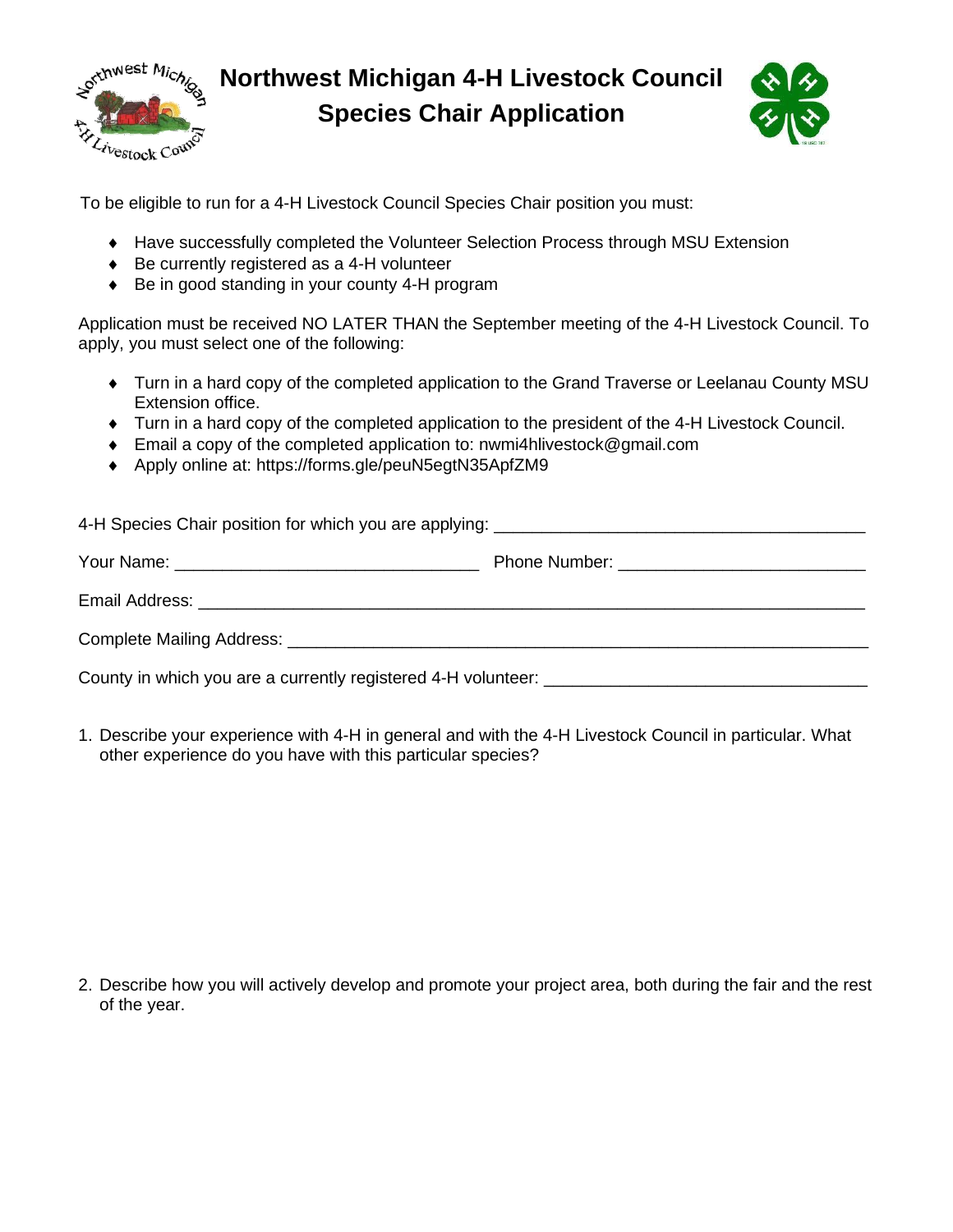

**Northwest Michigan 4-H Livestock Council Species Chair Application**



To be eligible to run for a 4-H Livestock Council Species Chair position you must:

- Have successfully completed the Volunteer Selection Process through MSU Extension
- ◆ Be currently registered as a 4-H volunteer
- ◆ Be in good standing in your county 4-H program

Application must be received NO LATER THAN the September meeting of the 4-H Livestock Council. To apply, you must select one of the following:

- Turn in a hard copy of the completed application to the Grand Traverse or Leelanau County MSU Extension office.
- Turn in a hard copy of the completed application to the president of the 4-H Livestock Council.
- Email a copy of the completed application to: nwmi4hlivestock@gmail.com
- ◆ Apply online at: https://forms.gle/peuN5egtN35ApfZM9

1. Describe your experience with 4-H in general and with the 4-H Livestock Council in particular. What other experience do you have with this particular species?

2. Describe how you will actively develop and promote your project area, both during the fair and the rest of the year.